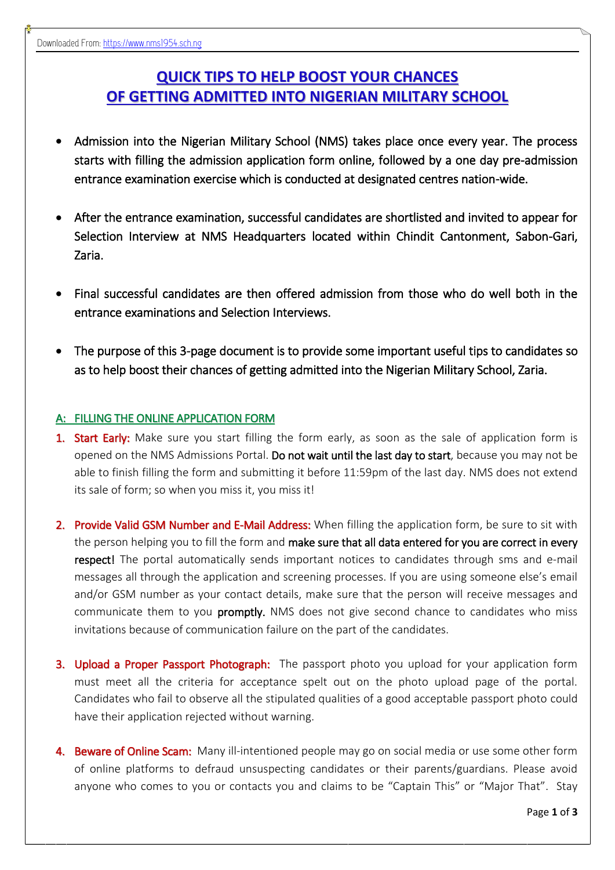## **QUICK TIPS TO HELP BOOST YOUR CHANCES OF GETTING ADMITTED INTO NIGERIAN MILITARY SCHOOL**

- Admission into the Nigerian Military School (NMS) takes place once every year. The process starts with filling the admission application form online, followed by a one day pre-admission entrance examination exercise which is conducted at designated centres nation-wide.
- After the entrance examination, successful candidates are shortlisted and invited to appear for Selection Interview at NMS Headquarters located within Chindit Cantonment, Sabon-Gari, Zaria.
- Final successful candidates are then offered admission from those who do well both in the entrance examinations and Selection Interviews.
- The purpose of this 3-page document is to provide some important useful tips to candidates so as to help boost their chances of getting admitted into the Nigerian Military School, Zaria.

## A: FILLING THE ONLINE APPLICATION FORM

- 1. Start Early: Make sure you start filling the form early, as soon as the sale of application form is opened on the NMS Admissions Portal. Do not wait until the last day to start, because you may not be able to finish filling the form and submitting it before 11:59pm of the last day. NMS does not extend its sale of form; so when you miss it, you miss it!
- 2. Provide Valid GSM Number and E-Mail Address: When filling the application form, be sure to sit with the person helping you to fill the form and make sure that all data entered for you are correct in every respect! The portal automatically sends important notices to candidates through sms and e-mail messages all through the application and screening processes. If you are using someone else's email and/or GSM number as your contact details, make sure that the person will receive messages and communicate them to you **promptly.** NMS does not give second chance to candidates who miss invitations because of communication failure on the part of the candidates.
- **3. Upload a Proper Passport Photograph:** The passport photo you upload for your application form must meet all the criteria for acceptance spelt out on the photo upload page of the portal. Candidates who fail to observe all the stipulated qualities of a good acceptable passport photo could have their application rejected without warning.
- 4. Beware of Online Scam: Many ill-intentioned people may go on social media or use some other form of online platforms to defraud unsuspecting candidates or their parents/guardians. Please avoid anyone who comes to you or contacts you and claims to be "Captain This" or "Major That". Stay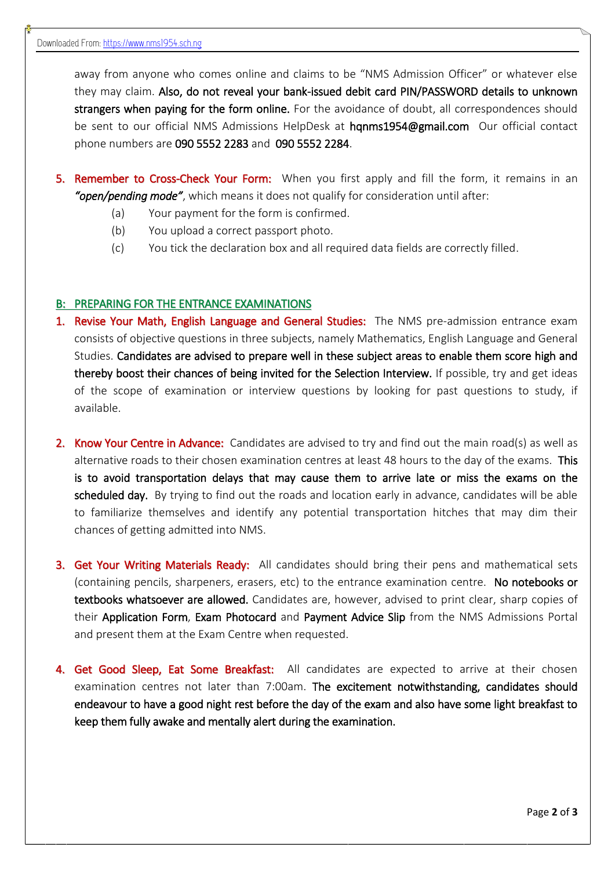away from anyone who comes online and claims to be "NMS Admission Officer" or whatever else they may claim. Also, do not reveal your bank-issued debit card PIN/PASSWORD details to unknown strangers when paying for the form online. For the avoidance of doubt, all correspondences should be sent to our official NMS Admissions HelpDesk at hqnms1954@gmail.com Our official contact phone numbers are 090 5552 2283 and 090 5552 2284.

- 5. Remember to Cross-Check Your Form: When you first apply and fill the form, it remains in an *"open/pending mode"*, which means it does not qualify for consideration until after:
	- (a) Your payment for the form is confirmed.
	- (b) You upload a correct passport photo.
	- (c) You tick the declaration box and all required data fields are correctly filled.

## B: PREPARING FOR THE ENTRANCE EXAMINATIONS

- 1. Revise Your Math, English Language and General Studies: The NMS pre-admission entrance exam consists of objective questions in three subjects, namely Mathematics, English Language and General Studies. Candidates are advised to prepare well in these subject areas to enable them score high and thereby boost their chances of being invited for the Selection Interview. If possible, try and get ideas of the scope of examination or interview questions by looking for past questions to study, if available.
- 2. Know Your Centre in Advance: Candidates are advised to try and find out the main road(s) as well as alternative roads to their chosen examination centres at least 48 hours to the day of the exams. This is to avoid transportation delays that may cause them to arrive late or miss the exams on the scheduled day. By trying to find out the roads and location early in advance, candidates will be able to familiarize themselves and identify any potential transportation hitches that may dim their chances of getting admitted into NMS.
- **3. Get Your Writing Materials Ready:** All candidates should bring their pens and mathematical sets (containing pencils, sharpeners, erasers, etc) to the entrance examination centre. No notebooks or textbooks whatsoever are allowed. Candidates are, however, advised to print clear, sharp copies of their Application Form, Exam Photocard and Payment Advice Slip from the NMS Admissions Portal and present them at the Exam Centre when requested.
- 4. Get Good Sleep, Eat Some Breakfast: All candidates are expected to arrive at their chosen examination centres not later than 7:00am. The excitement notwithstanding, candidates should endeavour to have a good night rest before the day of the exam and also have some light breakfast to keep them fully awake and mentally alert during the examination.